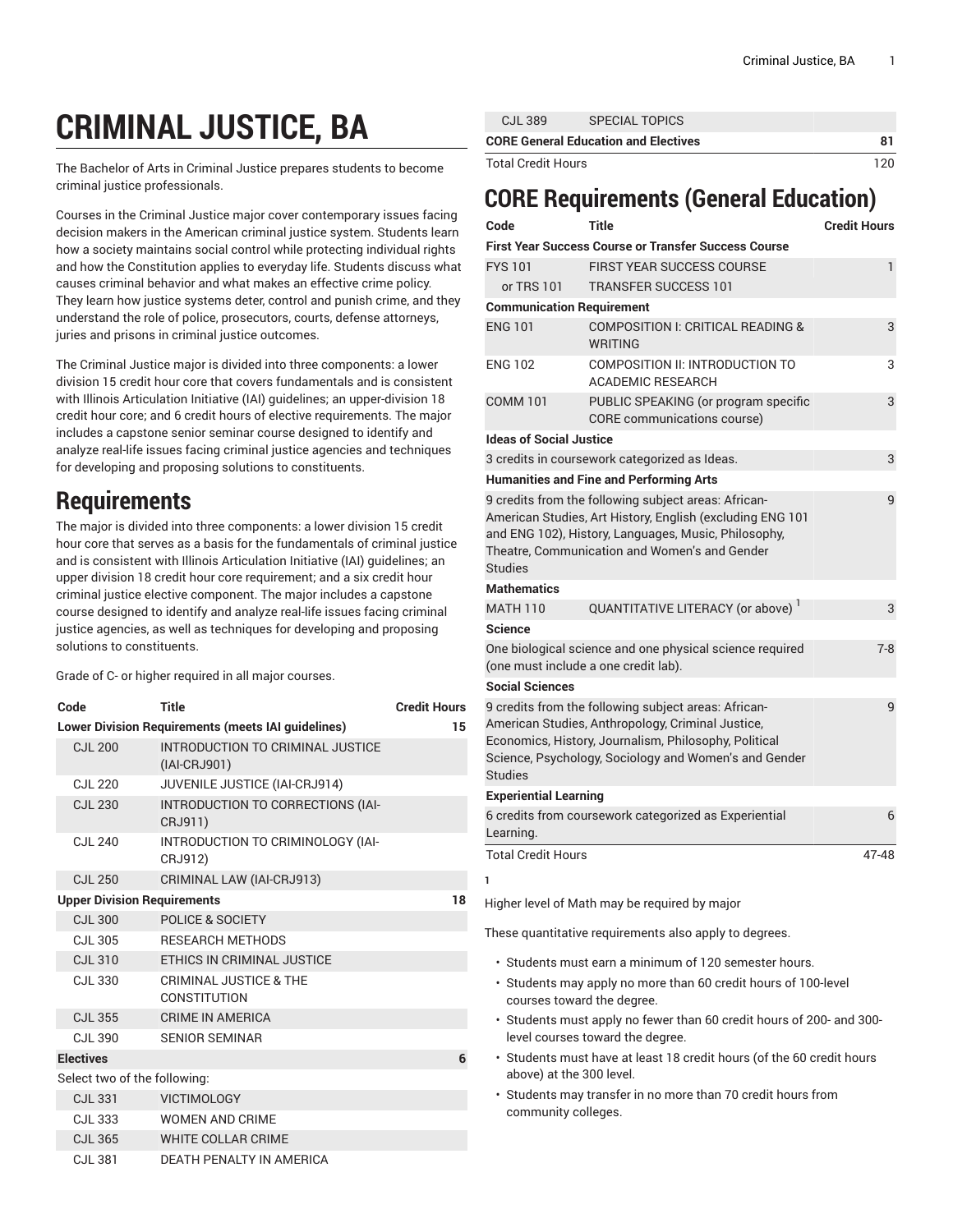## **CRIMINAL JUSTICE, BA**

The Bachelor of Arts in Criminal Justice prepares students to become criminal justice professionals.

Courses in the Criminal Justice major cover contemporary issues facing decision makers in the American criminal justice system. Students learn how a society maintains social control while protecting individual rights and how the Constitution applies to everyday life. Students discuss what causes criminal behavior and what makes an effective crime policy. They learn how justice systems deter, control and punish crime, and they understand the role of police, prosecutors, courts, defense attorneys, juries and prisons in criminal justice outcomes.

The Criminal Justice major is divided into three components: a lower division 15 credit hour core that covers fundamentals and is consistent with Illinois Articulation Initiative (IAI) guidelines; an upper-division 18 credit hour core; and 6 credit hours of elective requirements. The major includes a capstone senior seminar course designed to identify and analyze real-life issues facing criminal justice agencies and techniques for developing and proposing solutions to constituents.

## **Requirements**

The major is divided into three components: a lower division 15 credit hour core that serves as a basis for the fundamentals of criminal justice and is consistent with Illinois Articulation Initiative (IAI) guidelines; an upper division 18 credit hour core requirement; and a six credit hour criminal justice elective component. The major includes a capstone course designed to identify and analyze real-life issues facing criminal justice agencies, as well as techniques for developing and proposing solutions to constituents.

Grade of C- or higher required in all major courses.

| Code                                                      | Title                                              | <b>Credit Hours</b> |
|-----------------------------------------------------------|----------------------------------------------------|---------------------|
| <b>Lower Division Requirements (meets IAI guidelines)</b> | 15                                                 |                     |
| <b>CJL 200</b>                                            | INTRODUCTION TO CRIMINAL JUSTICE<br>$(IAI-CRJ901)$ |                     |
| <b>CJL 220</b>                                            | JUVENILE JUSTICE (IAI-CRJ914)                      |                     |
| <b>CJL 230</b>                                            | INTRODUCTION TO CORRECTIONS (IAI-<br>CRJ911)       |                     |
| <b>CJL 240</b>                                            | INTRODUCTION TO CRIMINOLOGY (IAI-<br>CRJ912)       |                     |
| <b>CJL 250</b>                                            | CRIMINAL LAW (IAI-CRJ913)                          |                     |
| <b>Upper Division Requirements</b>                        | 18                                                 |                     |
| <b>CJL 300</b>                                            | <b>POLICE &amp; SOCIETY</b>                        |                     |
| CJL 305                                                   | <b>RESEARCH METHODS</b>                            |                     |
| <b>CJL 310</b>                                            | ETHICS IN CRIMINAL JUSTICE                         |                     |
| CJL 330                                                   | <b>CRIMINAL JUSTICE &amp; THE</b><br>CONSTITUTION  |                     |
| <b>CJL 355</b>                                            | CRIME IN AMERICA                                   |                     |
| CJL 390                                                   | <b>SENIOR SEMINAR</b>                              |                     |
| <b>Electives</b>                                          |                                                    | 6                   |
| Select two of the following:                              |                                                    |                     |
| <b>CJL 331</b>                                            | <b>VICTIMOLOGY</b>                                 |                     |
| <b>CJL 333</b>                                            | <b>WOMEN AND CRIME</b>                             |                     |
| <b>CJL 365</b>                                            | WHITE COLLAR CRIME                                 |                     |
| <b>CJL 381</b>                                            | <b>DEATH PENALTY IN AMERICA</b>                    |                     |

| CJL 389                                     | SPECIAL TOPICS |     |
|---------------------------------------------|----------------|-----|
| <b>CORE General Education and Electives</b> |                |     |
| <b>Total Credit Hours</b>                   |                | 120 |

## **CORE Requirements (General Education)**

| Code                                                                                                                                                                                                                                         | <b>Title</b>                                                                                                                                                                                                                | <b>Credit Hours</b> |
|----------------------------------------------------------------------------------------------------------------------------------------------------------------------------------------------------------------------------------------------|-----------------------------------------------------------------------------------------------------------------------------------------------------------------------------------------------------------------------------|---------------------|
|                                                                                                                                                                                                                                              | <b>First Year Success Course or Transfer Success Course</b>                                                                                                                                                                 |                     |
| <b>FYS101</b>                                                                                                                                                                                                                                | <b>FIRST YEAR SUCCESS COURSE</b>                                                                                                                                                                                            | 1                   |
| or TRS 101                                                                                                                                                                                                                                   | <b>TRANSFER SUCCESS 101</b>                                                                                                                                                                                                 |                     |
| <b>Communication Requirement</b>                                                                                                                                                                                                             |                                                                                                                                                                                                                             |                     |
| <b>ENG 101</b>                                                                                                                                                                                                                               | COMPOSITION I: CRITICAL READING &<br><b>WRITING</b>                                                                                                                                                                         | 3                   |
| <b>ENG 102</b>                                                                                                                                                                                                                               | COMPOSITION II: INTRODUCTION TO<br><b>ACADEMIC RESEARCH</b>                                                                                                                                                                 | 3                   |
| <b>COMM 101</b>                                                                                                                                                                                                                              | PUBLIC SPEAKING (or program specific<br>CORE communications course)                                                                                                                                                         | 3                   |
| <b>Ideas of Social Justice</b>                                                                                                                                                                                                               |                                                                                                                                                                                                                             |                     |
|                                                                                                                                                                                                                                              | 3 credits in coursework categorized as Ideas.                                                                                                                                                                               | 3                   |
|                                                                                                                                                                                                                                              | <b>Humanities and Fine and Performing Arts</b>                                                                                                                                                                              |                     |
| 9 credits from the following subject areas: African-<br>American Studies, Art History, English (excluding ENG 101<br>and ENG 102), History, Languages, Music, Philosophy,<br>Theatre, Communication and Women's and Gender<br><b>Studies</b> | 9                                                                                                                                                                                                                           |                     |
| <b>Mathematics</b>                                                                                                                                                                                                                           |                                                                                                                                                                                                                             |                     |
| <b>MATH 110</b>                                                                                                                                                                                                                              | QUANTITATIVE LITERACY (or above)                                                                                                                                                                                            | 3                   |
| <b>Science</b>                                                                                                                                                                                                                               |                                                                                                                                                                                                                             |                     |
|                                                                                                                                                                                                                                              | One biological science and one physical science required<br>(one must include a one credit lab).                                                                                                                            | $7-8$               |
| <b>Social Sciences</b>                                                                                                                                                                                                                       |                                                                                                                                                                                                                             |                     |
| <b>Studies</b>                                                                                                                                                                                                                               | 9 credits from the following subject areas: African-<br>American Studies, Anthropology, Criminal Justice,<br>Economics, History, Journalism, Philosophy, Political<br>Science, Psychology, Sociology and Women's and Gender | 9                   |
| <b>Experiential Learning</b>                                                                                                                                                                                                                 |                                                                                                                                                                                                                             |                     |
| Learning.                                                                                                                                                                                                                                    | 6 credits from coursework categorized as Experiential                                                                                                                                                                       | 6                   |
| <b>Total Credit Hours</b>                                                                                                                                                                                                                    |                                                                                                                                                                                                                             | 47-48               |
| 1                                                                                                                                                                                                                                            |                                                                                                                                                                                                                             |                     |
|                                                                                                                                                                                                                                              | Higher level of Math may be required by major                                                                                                                                                                               |                     |
|                                                                                                                                                                                                                                              | These quantitative requirements also apply to degrees.                                                                                                                                                                      |                     |

- Students must earn a minimum of 120 semester hours.
- Students may apply no more than 60 credit hours of 100-level courses toward the degree.
- Students must apply no fewer than 60 credit hours of 200- and 300 level courses toward the degree.
- Students must have at least 18 credit hours (of the 60 credit hours above) at the 300 level.
- Students may transfer in no more than 70 credit hours from community colleges.